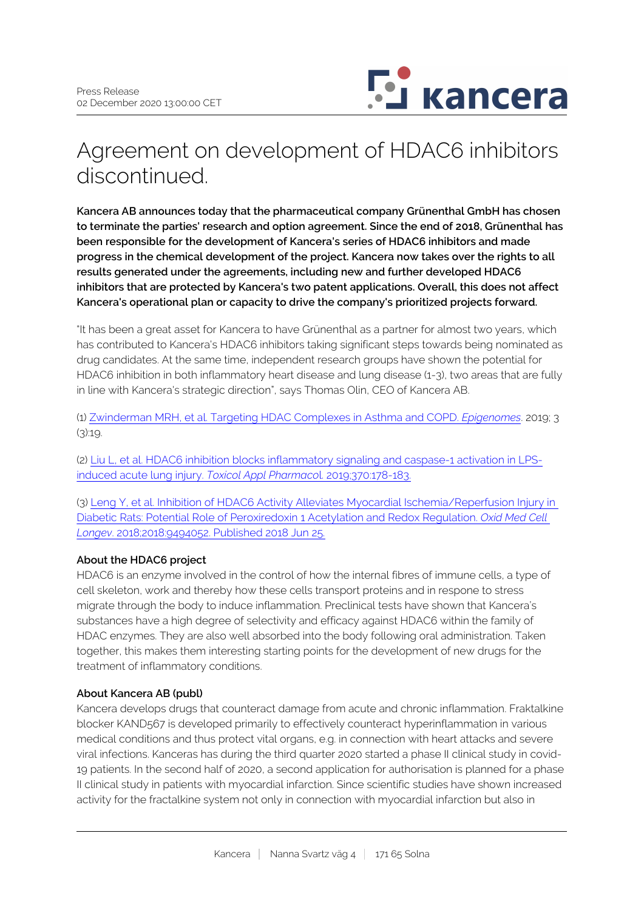

# Agreement on development of HDAC6 inhibitors discontinued.

**Kancera AB announces today that the pharmaceutical company Grünenthal GmbH has chosen to terminate the parties' research and option agreement. Since the end of 2018, Grünenthal has been responsible for the development of Kancera's series of HDAC6 inhibitors and made progress in the chemical development of the project. Kancera now takes over the rights to all results generated under the agreements, including new and further developed HDAC6 inhibitors that are protected by Kancera's two patent applications. Overall, this does not affect Kancera's operational plan or capacity to drive the company's prioritized projects forward.**

"It has been a great asset for Kancera to have Grünenthal as a partner for almost two years, which has contributed to Kancera's HDAC6 inhibitors taking significant steps towards being nominated as drug candidates. At the same time, independent research groups have shown the potential for HDAC6 inhibition in both inflammatory heart disease and lung disease (1-3), two areas that are fully in line with Kancera's strategic direction", says Thomas Olin, CEO of Kancera AB.

(1) [Zwinderman MRH, et al. Targeting HDAC Complexes in Asthma and COPD.](https://www.mdpi.com/2075-4655/3/3/19) *[Epigenomes](https://www.mdpi.com/2075-4655/3/3/19)*. 2019; 3  $(3)$ :19.

(2) [Liu L, et al. HDAC6 inhibition blocks inflammatory signaling and caspase-1 activation in LPS](https://pubmed.ncbi.nlm.nih.gov/30910594/)[induced acute lung injury.](https://pubmed.ncbi.nlm.nih.gov/30910594/) *[Toxicol Appl Pharmaco](https://pubmed.ncbi.nlm.nih.gov/30910594/)*[l. 2019;370:178-183.](https://pubmed.ncbi.nlm.nih.gov/30910594/)

(3) [Leng Y, et al. Inhibition of HDAC6 Activity Alleviates Myocardial Ischemia/Reperfusion Injury in](https://pubmed.ncbi.nlm.nih.gov/30046381/)  [Diabetic Rats: Potential Role of Peroxiredoxin 1 Acetylation and Redox Regulation.](https://pubmed.ncbi.nlm.nih.gov/30046381/) *[Oxid Med Cell](https://pubmed.ncbi.nlm.nih.gov/30046381/)  [Longev](https://pubmed.ncbi.nlm.nih.gov/30046381/)*[. 2018;2018:9494052. Published 2018 Jun 25.](https://pubmed.ncbi.nlm.nih.gov/30046381/)

# **About the HDAC6 project**

HDAC6 is an enzyme involved in the control of how the internal fibres of immune cells, a type of cell skeleton, work and thereby how these cells transport proteins and in respone to stress migrate through the body to induce inflammation. Preclinical tests have shown that Kancera's substances have a high degree of selectivity and efficacy against HDAC6 within the family of HDAC enzymes. They are also well absorbed into the body following oral administration. Taken together, this makes them interesting starting points for the development of new drugs for the treatment of inflammatory conditions.

# **About Kancera AB (publ)**

Kancera develops drugs that counteract damage from acute and chronic inflammation. Fraktalkine blocker KAND567 is developed primarily to effectively counteract hyperinflammation in various medical conditions and thus protect vital organs, e.g. in connection with heart attacks and severe viral infections. Kanceras has during the third quarter 2020 started a phase II clinical study in covid-19 patients. In the second half of 2020, a second application for authorisation is planned for a phase II clinical study in patients with myocardial infarction. Since scientific studies have shown increased activity for the fractalkine system not only in connection with myocardial infarction but also in